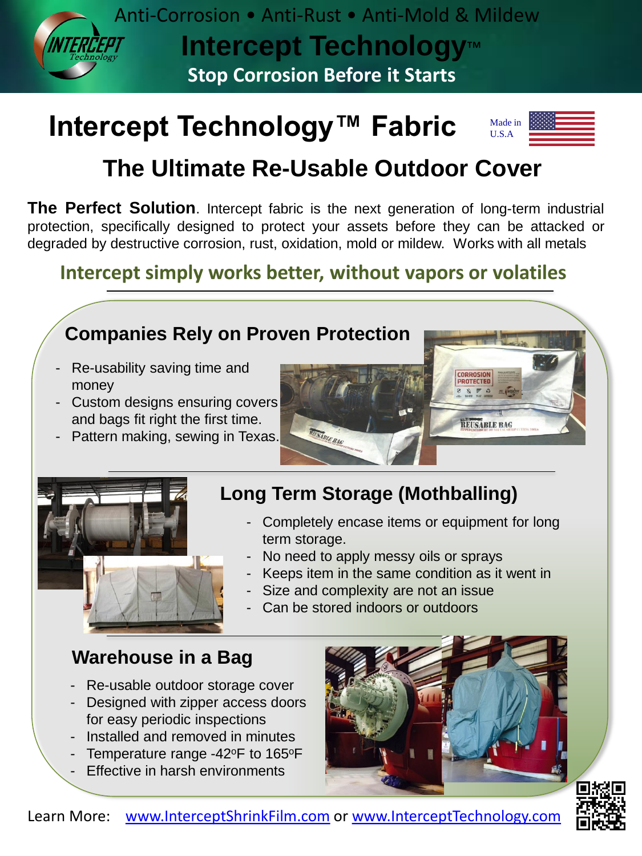

# **Intercept Technology™ Fabric**



# **The Ultimate Re-Usable Outdoor Cover**

**The Perfect Solution**. Intercept fabric is the next generation of long-term industrial protection, specifically designed to protect your assets before they can be attacked or degraded by destructive corrosion, rust, oxidation, mold or mildew. Works with all metals

## **Intercept simply works better, without vapors or volatiles**

NEADLE BAC

## **Companies Rely on Proven Protection**

- Re-usability saving time and money
- Custom designs ensuring covers and bags fit right the first time.
- Pattern making, sewing in Texas.



#### **Long Term Storage (Mothballing)**

- Completely encase items or equipment for long term storage.
- No need to apply messy oils or sprays
- Keeps item in the same condition as it went in
- Size and complexity are not an issue
- Can be stored indoors or outdoors

#### **Warehouse in a Bag**

- Re-usable outdoor storage cover
- Designed with zipper access doors for easy periodic inspections
- Installed and removed in minutes
- Temperature range  $-42^{\circ}$ F to 165°F
- **Effective in harsh environments**



**CORROSION**<br>PROTECTED

**REUSABLE BAC**